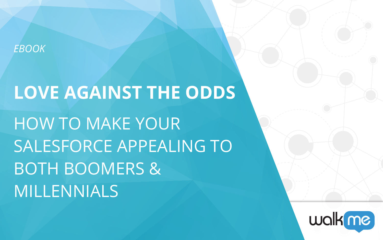### *EBOOK*

# **LOVE AGAINST THE ODDS** HOW TO MAKE YOUR SALESFORCE APPEALING TO BOTH BOOMERS & MILLENNIALS

# walkme,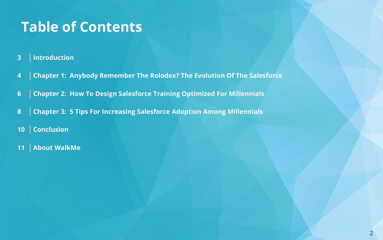## **Table of Contents**

#### **3 Introduction**

- **4 Chapter 1: Anybody Remember The Rolodex? The Evolution Of The Salesforce**
- **6 Chapter 2: How To Design Salesforce Training Optimized For Millennials**
- **8 Chapter 3: 5 Tips For Increasing Salesforce Adoption Among Millennials**
- **10 Conclusion**
- **11 About WalkMe**

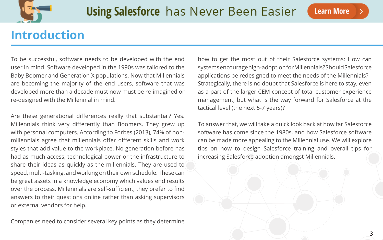

### **Introduction**

To be successful, software needs to be developed with the end user in mind. Software developed in the 1990s was tailored to the Baby Boomer and Generation X populations. Now that Millennials are becoming the majority of the end users, software that was developed more than a decade must now must be re-imagined or re-designed with the Millennial in mind.

Are these generational differences really that substantial? Yes. Millennials think very differently than Boomers. They grew up with personal computers. According to Forbes (2013), 74% of nonmillennials agree that millennials offer different skills and work styles that add value to the workplace. No generation before has had as much access, technological power or the infrastructure to share their ideas as quickly as the millennials. They are used to speed, multi-tasking, and working on their own schedule. These can be great assets in a knowledge economy which values end results over the process. Millennials are self-sufficient; they prefer to find answers to their questions online rather than asking supervisors or external vendors for help.

Companies need to consider several key points as they determine

how to get the most out of their Salesforce systems: How can systems encourage high-adoption for Millennials? Should Salesforce applications be redesigned to meet the needs of the Millennials? Strategically, there is no doubt that Salesforce is here to stay, even as a part of the larger CEM concept of total customer experience management, but what is the way forward for Salesforce at the tactical level (the next 5-7 years)?

To answer that, we will take a quick look back at how far Salesforce software has come since the 1980s, and how Salesforce software can be made more appealing to the Millennial use. We will explore tips on how to design Salesforce training and overall tips for increasing Salesforce adoption amongst Millennials.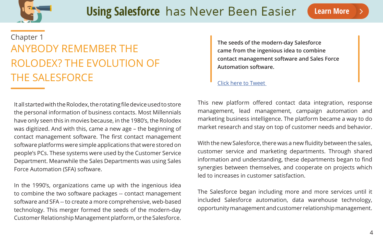

It all started with the Rolodex, the rotating file device used to store the personal information of business contacts. Most Millennials have only seen this in movies because, in the 1980's, the Rolodex was digitized. And with this, came a new age – the beginning of contact management software. The first contact management software platforms were simple applications that were stored on people's PCs. These systems were used by the Customer Service Department. Meanwhile the Sales Departments was using Sales Force Automation (SFA) software.

In the 1990's, organizations came up with the ingenious idea to combine the two software packages -- contact management software and SFA -- to create a more comprehensive, web-based technology. This merger formed the seeds of the modern-day Customer Relationship Management platform, or the Salesforce.

### ANYBODY REMEMBER THE ROLODEX? THE EVOLUTION OF THE SALESFORCE Chapter 1

This new platform offered contact data integration, response management, lead management, campaign automation and marketing business intelligence. The platform became a way to do market research and stay on top of customer needs and behavior.

With the new Salesforce, there was a new fluidity between the sales, customer service and marketing departments. Through shared information and understanding, these departments began to find synergies between themselves, and cooperate on projects which led to increases in customer satisfaction.

The Salesforce began including more and more services until it included Salesforce automation, data warehouse technology, opportunity management and customer relationship management.

**The seeds of the modern-day Salesforce came from the ingenious idea to combine contact management software and Sales Force Automation software.**

[Click here to Tweet](http://ctt.ec/xkb8n)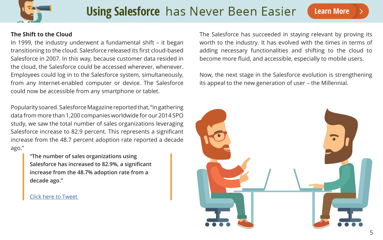

### **Using Salesforce** has Never Been Easier

### **The Shift to the Cloud**

In 1999, the industry underwent a fundamental shift – it began transitioning to the cloud. Salesforce released its first cloud-based Salesforce in 2007. In this way, because customer data resided in the cloud, the Salesforce could be accessed wherever, whenever. Employees could log in to the Salesforce system, simultaneously, from any Internet-enabled computer or device. The Salesforce could now be accessible from any smartphone or tablet.

Popularity soared. Salesforce Magazine reported that, "in gathering data from more than 1,200 companies worldwide for our 2014 SPO study, we saw the total number of sales organizations leveraging Salesforce increase to 82.9 percent. This represents a significant increase from the 48.7 percent adoption rate reported a decade ago."

The Salesforce has succeeded in staying relevant by proving its worth to the industry. It has evolved with the times in terms of adding necessary functionalities and shifting to the cloud to become more fluid, and accessible, especially to mobile users.

Now, the next stage in the Salesforce evolution is strengthening its appeal to the new generation of user – the Millennial.

**"The number of sales organizations using Salesforce has increased to 82.9%, a significant increase from the 48.7% adoption rate from a decade ago."** 

#### [Click here to Tweet](http://ctt.ec/447sA)

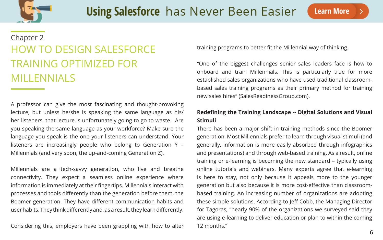

A professor can give the most fascinating and thought-provoking lecture, but unless he/she is speaking the same language as his/ her listeners, that lecture is unfortunately going to go to waste. Are you speaking the same language as your workforce? Make sure the language you speak is the one your listeners can understand. Your listeners are increasingly people who belong to Generation Y – Millennials (and very soon, the up-and-coming Generation Z).

Millennials are a tech-savvy generation, who live and breathe connectivity. They expect a seamless online experience where information is immediately at their fingertips. Millennials interact with processes and tools differently than the generation before them, the Boomer generation. They have different communication habits and user habits. They think differently and, as a result, they learn differently.

Considering this, employers have been grappling with how to alter

training programs to better fit the Millennial way of thinking.

### HOW TO DESIGN SALESFORCE TRAINING OPTIMIZED FOR MILLENNIALS Chapter 2

"One of the biggest challenges senior sales leaders face is how to onboard and train Millennials. This is particularly true for more established sales organizations who have used traditional classroombased sales training programs as their primary method for training new sales hires" (SalesReadinessGroup.com).

### **Redefining the Training Landscape -- Digital Solutions and Visual Stimuli**

There has been a major shift in training methods since the Boomer generation. Most Millennials prefer to learn through visual stimuli (and generally, information is more easily absorbed through infographics and presentations) and through web-based training. As a result, online training or e-learning is becoming the new standard – typically using online tutorials and webinars. Many experts agree that e-learning is here to stay, not only because it appeals more to the younger generation but also because it is more cost-effective than classroombased training. An increasing number of organizations are adopting these simple solutions. According to Jeff Cobb, the Managing Director for Tagoras, "nearly 90% of the organizations we surveyed said they are using e-learning to deliver education or plan to within the coming 12 months."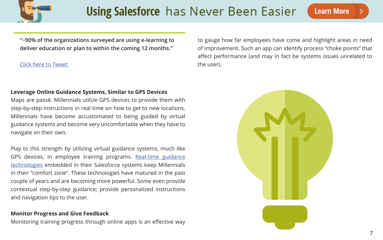

### **Leverage Online Guidance Systems, Similar to GPS Devices**

Maps are passé. Millennials utilize GPS devices to provide them with step-by-step instructions in real time on how to get to new locations. Millennials have become accustomated to being guided by virtual guidance systems and become very uncomfortable when they have to navigate on their own.

Play to this strength by utilizing virtual guidance systems, much like GPS devices, in employee training programs. [Real-time guidance](http://www.walkme.com/learning-salesforce-lp/?t=8&eco=salesforce&camp=SALESFORCEMILLENNIALEBOOK&land=using-salesforce&pitch=Employee-Productivity) [technologies](http://www.walkme.com/learning-salesforce-lp/?t=8&eco=salesforce&camp=SALESFORCEMILLENNIALEBOOK&land=using-salesforce&pitch=Employee-Productivity) embedded in their Salesforce systems keep Millennials in their "comfort zone". These technologies have matured in the past couple of years and are becoming more powerful. Some even provide contextual step-by-step guidance; provide personalized instructions and navigation tips to the user.

#### **Monitor Progress and Give Feedback**

Monitoring training progress through online apps is an effective way

to gauge how far employees have come and highlight areas in need of improvement. Such an app can identify process "choke points" that affect performance (and may in fact be systems issues unrelated to the user).



**"~90% of the organizations surveyed are using e-learning to deliver education or plan to within the coming 12 months."**

### [Click here to Tweet](http://ctt.ec/CcT8t)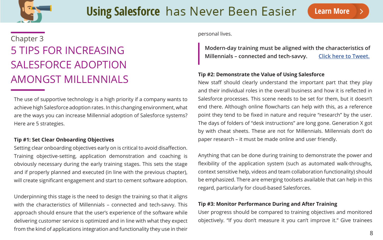

The use of supportive technology is a high priority if a company wants to achieve high Salesforce adoption rates. In this changing environment, what are the ways you can increase Millennial adoption of Salesforce systems? Here are 5 strategies.

#### **Tip #1: Set Clear Onboarding Objectives**

Setting clear onboarding objectives early on is critical to avoid disaffection. Training objective-setting, application demonstration and coaching is obviously necessary during the early training stages. This sets the stage and if properly planned and executed (in line with the previous chapter), will create significant engagement and start to cement software adoption.

Underpinning this stage is the need to design the training so that it aligns with the characteristics of Millennials – connected and tech-savvy. This approach should ensure that the user's experience of the software while delivering customer service is optimized and in line with what they expect from the kind of applications integration and functionality they use in their

personal lives.

#### **Tip #2: Demonstrate the Value of Using Salesforce**

### 5 TIPS FOR INCREASING SALESFORCE ADOPTION AMONGST MILLENNIALS Chapter 3

**Modern-day training must be aligned with the characteristics of**  Millennials - connected and tech-savvy. **[Click here to Tweet.](http://ctt.ec/UawZk)** 

New staff should clearly understand the important part that they play and their individual roles in the overall business and how it is reflected in Salesforce processes. This scene needs to be set for them, but it doesn't end there. Although online flowcharts can help with this, as a reference point they tend to be fixed in nature and require "research" by the user. The days of folders of "desk instructions" are long gone. Generation X got by with cheat sheets. These are not for Millennials. Millennials don't do paper research – it must be made online and user friendly.

Anything that can be done during training to demonstrate the power and flexibility of the application system (such as automated walk-throughs, context sensitive help, videos and team collaboration functionality) should be emphasized. There are emerging toolsets available that can help in this regard, particularly for cloud-based Salesforces.

### **Tip #3: Monitor Performance During and After Training**

User progress should be compared to training objectives and monitored objectively. "If you don't measure it you can't improve it." Give trainees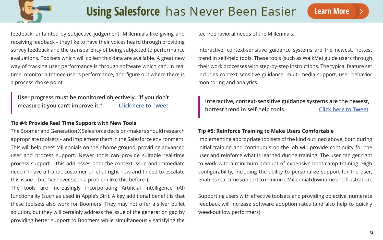

feedback, untainted by subjective judgement. Millennials like giving and receiving feedback – they like to have their voices heard through providing survey feedback and the transparency of being subjected to performance evaluations. Toolsets which will collect this data are available. A great new way of tracking user performance is through software which can, in real time, monitor a trainee user's performance, and figure out where there is a process choke point.

#### **Tip #4: Provide Real Time Support with New Tools**

The Boomer and Generation X Salesforce decision-makers should research appropriate toolsets – and implement them in the Salesforce environment. This will help meet Millennials on their home ground, providing advanced user and process support. Newer tools can provide suitable real-time process support – this addresses both the context issue and immediate need ("I have a frantic customer on chat right now and I need to escalate this issue – but I've never seen a problem like this before").

The tools are increasingly incorporating Artificial Intelligence (AI) functionality (such as used in Apple's Siri). A key additional benefit is that these toolsets also work for Boomers. They may not offer a silver bullet solution, but they will certainly address the issue of the generation gap by providing better support to Boomers while simultaneously satisfying the

tech/behavioral needs of the Millennials.

Interactive, context-sensitive guidance systems are the newest, hottest trend in self-help tools. These tools (such as WalkMe) guide users through their work processes with step-by-step instructions. The typical feature set includes context sensitive guidance, multi-media support, user behavior monitoring and analytics.

**hottest trend in self-help tools.** 

#### **Tip #5: Reinforce Training to Make Users Comfortable**

Implementing appropriate toolsets of the kind outlined above, both during initial training and continuous on-the-job will provide continuity for the user and reinforce what is learned during training. The user can get right to work with a minimum amount of expensive boot-camp training. High configurability, including the ability to personalize support for the user, enables real-time support to minimize Millennial downtime and frustration.

Supporting users with effective toolsets and providing objective, numerate feedback will increase software adoption rates (and also help to quickly weed-out low performers).

**User progress must be monitored objectively. "If you don't measure it you can't improve it." [Click here to Tweet.](http://ctt.ec/fT967) Interactive, context-sensitive guidance systems are the newest,**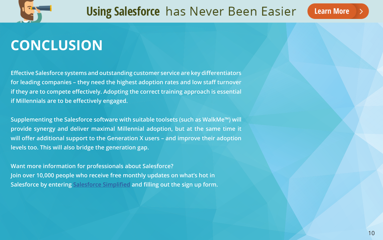

## **CONCLUSION**

**Effective Salesforce systems and outstanding customer service are key differentiators for leading companies – they need the highest adoption rates and low staff turnover if they are to compete effectively. Adopting the correct training approach is essential if Millennials are to be effectively engaged.** 

**Supplementing the Salesforce software with suitable toolsets (such as WalkMe™) will provide synergy and deliver maximal Millennial adoption, but at the same time it will offer additional support to the Generation X users – and improve their adoption levels too. This will also bridge the generation gap.**

**Want more information for professionals about Salesforce? Join over 10,000 people who receive free monthly updates on what's hot in Salesforce by entering [Salesforce Simplified](http://www.walkme.com/learning-salesforce-lp/?t=8&eco=salesforce&camp=SALESFORCEMILLENNIALEBOOK&land=using-salesforce&pitch=Employee-Productivity) and filling out the sign up form.**

### **Learn More**